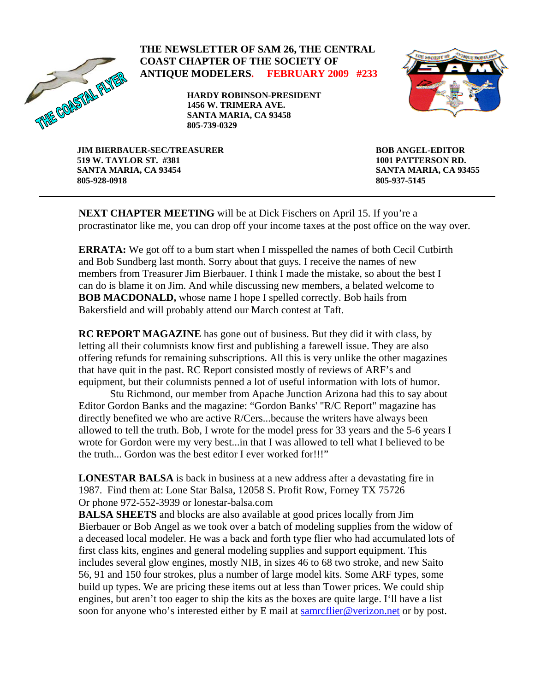

## **THE NEWSLETTER OF SAM 26, THE CENTRAL COAST CHAPTER OF THE SOCIETY OF ANTIQUE MODELERS. FEBRUARY 2009 #233**

**HARDY ROBINSON-PRESIDENT 1456 W. TRIMERA AVE. SANTA MARIA, CA 93458 805-739-0329** 



**JIM BIERBAUER-SEC/TREASURER 519 W. TAYLOR ST. #381 SANTA MARIA, CA 93454 805-928-0918** 

**BOB ANGEL-EDITOR 1001 PATTERSON RD. SANTA MARIA, CA 93455 805-937-5145** 

**NEXT CHAPTER MEETING** will be at Dick Fischers on April 15. If you're a procrastinator like me, you can drop off your income taxes at the post office on the way over.

**ERRATA:** We got off to a bum start when I misspelled the names of both Cecil Cutbirth and Bob Sundberg last month. Sorry about that guys. I receive the names of new members from Treasurer Jim Bierbauer. I think I made the mistake, so about the best I can do is blame it on Jim. And while discussing new members, a belated welcome to **BOB MACDONALD,** whose name I hope I spelled correctly. Bob hails from Bakersfield and will probably attend our March contest at Taft.

**RC REPORT MAGAZINE** has gone out of business. But they did it with class, by letting all their columnists know first and publishing a farewell issue. They are also offering refunds for remaining subscriptions. All this is very unlike the other magazines that have quit in the past. RC Report consisted mostly of reviews of ARF's and equipment, but their columnists penned a lot of useful information with lots of humor.

Stu Richmond, our member from Apache Junction Arizona had this to say about Editor Gordon Banks and the magazine: "Gordon Banks' "R/C Report" magazine has directly benefited we who are active R/Cers...because the writers have always been allowed to tell the truth. Bob, I wrote for the model press for 33 years and the 5-6 years I wrote for Gordon were my very best...in that I was allowed to tell what I believed to be the truth... Gordon was the best editor I ever worked for!!!"

**LONESTAR BALSA** is back in business at a new address after a devastating fire in 1987. Find them at: Lone Star Balsa, 12058 S. Profit Row, Forney TX 75726 Or phone 972-552-3939 or lonestar-balsa.com

**BALSA SHEETS** and blocks are also available at good prices locally from Jim Bierbauer or Bob Angel as we took over a batch of modeling supplies from the widow of a deceased local modeler. He was a back and forth type flier who had accumulated lots of first class kits, engines and general modeling supplies and support equipment. This includes several glow engines, mostly NIB, in sizes 46 to 68 two stroke, and new Saito 56, 91 and 150 four strokes, plus a number of large model kits. Some ARF types, some build up types. We are pricing these items out at less than Tower prices. We could ship engines, but aren't too eager to ship the kits as the boxes are quite large. I'll have a list soon for anyone who's interested either by E mail at [samrcflier@verizon.net](mailto:samrcflier@verizon.net) or by post.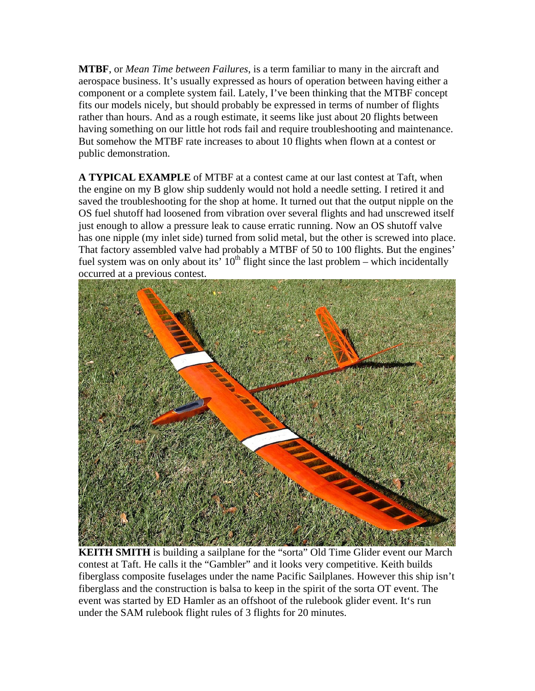**MTBF**, or *Mean Time between Failures*, is a term familiar to many in the aircraft and aerospace business. It's usually expressed as hours of operation between having either a component or a complete system fail. Lately, I've been thinking that the MTBF concept fits our models nicely, but should probably be expressed in terms of number of flights rather than hours. And as a rough estimate, it seems like just about 20 flights between having something on our little hot rods fail and require troubleshooting and maintenance. But somehow the MTBF rate increases to about 10 flights when flown at a contest or public demonstration.

**A TYPICAL EXAMPLE** of MTBF at a contest came at our last contest at Taft, when the engine on my B glow ship suddenly would not hold a needle setting. I retired it and saved the troubleshooting for the shop at home. It turned out that the output nipple on the OS fuel shutoff had loosened from vibration over several flights and had unscrewed itself just enough to allow a pressure leak to cause erratic running. Now an OS shutoff valve has one nipple (my inlet side) turned from solid metal, but the other is screwed into place. That factory assembled valve had probably a MTBF of 50 to 100 flights. But the engines' fuel system was on only about its'  $10^{th}$  flight since the last problem – which incidentally occurred at a previous contest.



**KEITH SMITH** is building a sailplane for the "sorta" Old Time Glider event our March contest at Taft. He calls it the "Gambler" and it looks very competitive. Keith builds fiberglass composite fuselages under the name Pacific Sailplanes. However this ship isn't fiberglass and the construction is balsa to keep in the spirit of the sorta OT event. The event was started by ED Hamler as an offshoot of the rulebook glider event. It's run under the SAM rulebook flight rules of 3 flights for 20 minutes.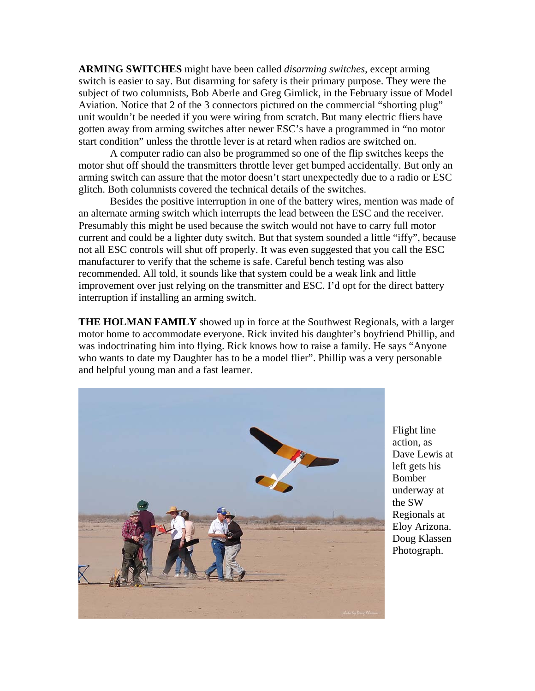**ARMING SWITCHES** might have been called *disarming switches*, except arming switch is easier to say. But disarming for safety is their primary purpose. They were the subject of two columnists, Bob Aberle and Greg Gimlick, in the February issue of Model Aviation. Notice that 2 of the 3 connectors pictured on the commercial "shorting plug" unit wouldn't be needed if you were wiring from scratch. But many electric fliers have gotten away from arming switches after newer ESC's have a programmed in "no motor start condition" unless the throttle lever is at retard when radios are switched on.

A computer radio can also be programmed so one of the flip switches keeps the motor shut off should the transmitters throttle lever get bumped accidentally. But only an arming switch can assure that the motor doesn't start unexpectedly due to a radio or ESC glitch. Both columnists covered the technical details of the switches.

Besides the positive interruption in one of the battery wires, mention was made of an alternate arming switch which interrupts the lead between the ESC and the receiver. Presumably this might be used because the switch would not have to carry full motor current and could be a lighter duty switch. But that system sounded a little "iffy", because not all ESC controls will shut off properly. It was even suggested that you call the ESC manufacturer to verify that the scheme is safe. Careful bench testing was also recommended. All told, it sounds like that system could be a weak link and little improvement over just relying on the transmitter and ESC. I'd opt for the direct battery interruption if installing an arming switch.

**THE HOLMAN FAMILY** showed up in force at the Southwest Regionals, with a larger motor home to accommodate everyone. Rick invited his daughter's boyfriend Phillip, and was indoctrinating him into flying. Rick knows how to raise a family. He says "Anyone who wants to date my Daughter has to be a model flier". Phillip was a very personable and helpful young man and a fast learner.



Flight line action, as Dave Lewis at left gets his Bomber underway at the SW Regionals at Eloy Arizona. Doug Klassen Photograph.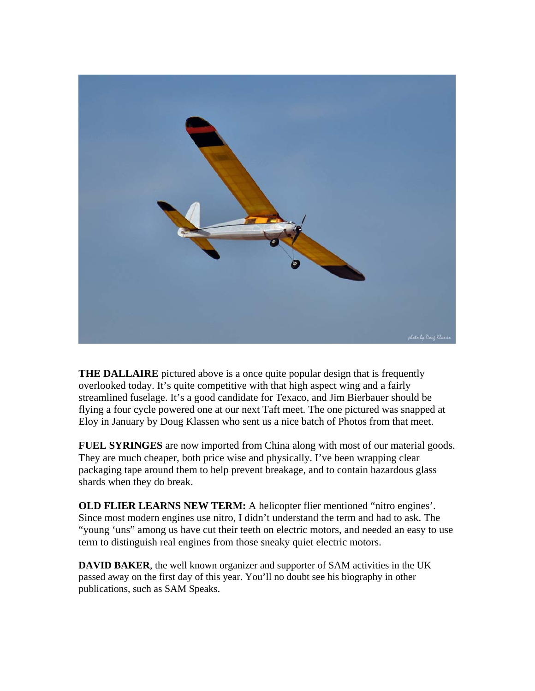

**THE DALLAIRE** pictured above is a once quite popular design that is frequently overlooked today. It's quite competitive with that high aspect wing and a fairly streamlined fuselage. It's a good candidate for Texaco, and Jim Bierbauer should be flying a four cycle powered one at our next Taft meet. The one pictured was snapped at Eloy in January by Doug Klassen who sent us a nice batch of Photos from that meet.

**FUEL SYRINGES** are now imported from China along with most of our material goods. They are much cheaper, both price wise and physically. I've been wrapping clear packaging tape around them to help prevent breakage, and to contain hazardous glass shards when they do break.

**OLD FLIER LEARNS NEW TERM:** A helicopter flier mentioned "nitro engines". Since most modern engines use nitro, I didn't understand the term and had to ask. The "young 'uns" among us have cut their teeth on electric motors, and needed an easy to use term to distinguish real engines from those sneaky quiet electric motors.

**DAVID BAKER**, the well known organizer and supporter of SAM activities in the UK passed away on the first day of this year. You'll no doubt see his biography in other publications, such as SAM Speaks.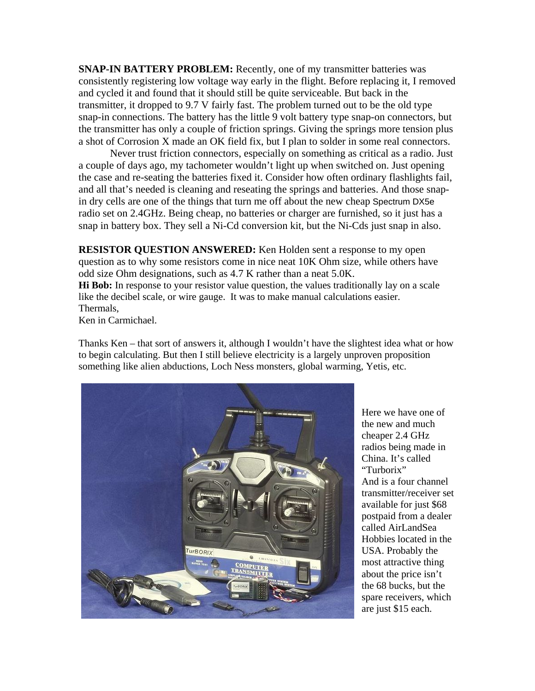**SNAP-IN BATTERY PROBLEM:** Recently, one of my transmitter batteries was consistently registering low voltage way early in the flight. Before replacing it, I removed and cycled it and found that it should still be quite serviceable. But back in the transmitter, it dropped to 9.7 V fairly fast. The problem turned out to be the old type snap-in connections. The battery has the little 9 volt battery type snap-on connectors, but the transmitter has only a couple of friction springs. Giving the springs more tension plus a shot of Corrosion X made an OK field fix, but I plan to solder in some real connectors.

 Never trust friction connectors, especially on something as critical as a radio. Just a couple of days ago, my tachometer wouldn't light up when switched on. Just opening the case and re-seating the batteries fixed it. Consider how often ordinary flashlights fail, and all that's needed is cleaning and reseating the springs and batteries. And those snapin dry cells are one of the things that turn me off about the new cheap Spectrum DX5e radio set on 2.4GHz. Being cheap, no batteries or charger are furnished, so it just has a snap in battery box. They sell a Ni-Cd conversion kit, but the Ni-Cds just snap in also.

**RESISTOR QUESTION ANSWERED:** Ken Holden sent a response to my open question as to why some resistors come in nice neat 10K Ohm size, while others have odd size Ohm designations, such as 4.7 K rather than a neat 5.0K.

**Hi Bob:** In response to your resistor value question, the values traditionally lay on a scale like the decibel scale, or wire gauge. It was to make manual calculations easier. Thermals,

Ken in Carmichael.

Thanks Ken – that sort of answers it, although I wouldn't have the slightest idea what or how to begin calculating. But then I still believe electricity is a largely unproven proposition something like alien abductions, Loch Ness monsters, global warming, Yetis, etc.



Here we have one of the new and much cheaper 2.4 GHz radios being made in China. It's called "Turborix"

And is a four channel transmitter/receiver set available for just \$68 postpaid from a dealer called AirLandSea Hobbies located in the USA. Probably the most attractive thing about the price isn't the 68 bucks, but the spare receivers, which are just \$15 each.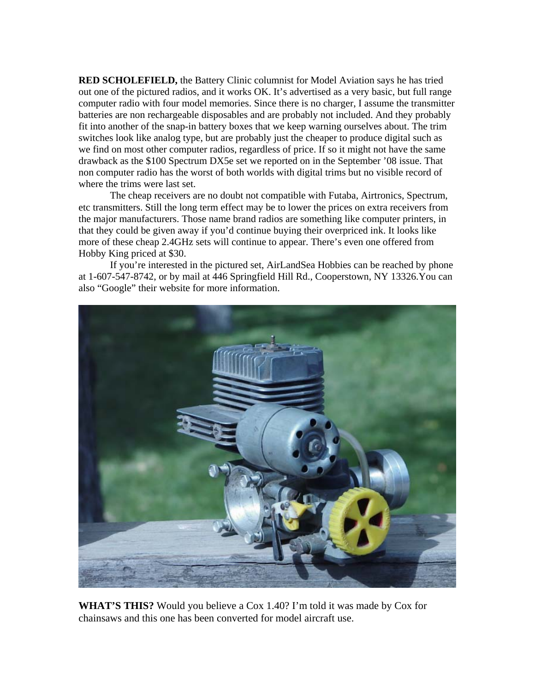**RED SCHOLEFIELD,** the Battery Clinic columnist for Model Aviation says he has tried out one of the pictured radios, and it works OK. It's advertised as a very basic, but full range computer radio with four model memories. Since there is no charger, I assume the transmitter batteries are non rechargeable disposables and are probably not included. And they probably fit into another of the snap-in battery boxes that we keep warning ourselves about. The trim switches look like analog type, but are probably just the cheaper to produce digital such as we find on most other computer radios, regardless of price. If so it might not have the same drawback as the \$100 Spectrum DX5e set we reported on in the September '08 issue. That non computer radio has the worst of both worlds with digital trims but no visible record of where the trims were last set.

The cheap receivers are no doubt not compatible with Futaba, Airtronics, Spectrum, etc transmitters. Still the long term effect may be to lower the prices on extra receivers from the major manufacturers. Those name brand radios are something like computer printers, in that they could be given away if you'd continue buying their overpriced ink. It looks like more of these cheap 2.4GHz sets will continue to appear. There's even one offered from Hobby King priced at \$30.

 If you're interested in the pictured set, AirLandSea Hobbies can be reached by phone at 1-607-547-8742, or by mail at 446 Springfield Hill Rd., Cooperstown, NY 13326.You can also "Google" their website for more information.



**WHAT'S THIS?** Would you believe a Cox 1.40? I'm told it was made by Cox for chainsaws and this one has been converted for model aircraft use.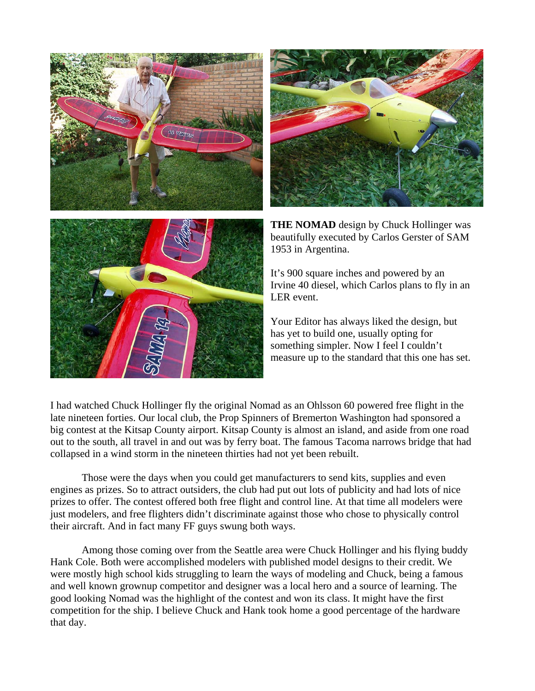



**THE NOMAD** design by Chuck Hollinger was beautifully executed by Carlos Gerster of SAM 1953 in Argentina.

It's 900 square inches and powered by an Irvine 40 diesel, which Carlos plans to fly in an LER event.

Your Editor has always liked the design, but has yet to build one, usually opting for something simpler. Now I feel I couldn't measure up to the standard that this one has set.

I had watched Chuck Hollinger fly the original Nomad as an Ohlsson 60 powered free flight in the late nineteen forties. Our local club, the Prop Spinners of Bremerton Washington had sponsored a big contest at the Kitsap County airport. Kitsap County is almost an island, and aside from one road out to the south, all travel in and out was by ferry boat. The famous Tacoma narrows bridge that had collapsed in a wind storm in the nineteen thirties had not yet been rebuilt.

Those were the days when you could get manufacturers to send kits, supplies and even engines as prizes. So to attract outsiders, the club had put out lots of publicity and had lots of nice prizes to offer. The contest offered both free flight and control line. At that time all modelers were just modelers, and free flighters didn't discriminate against those who chose to physically control their aircraft. And in fact many FF guys swung both ways.

Among those coming over from the Seattle area were Chuck Hollinger and his flying buddy Hank Cole. Both were accomplished modelers with published model designs to their credit. We were mostly high school kids struggling to learn the ways of modeling and Chuck, being a famous and well known grownup competitor and designer was a local hero and a source of learning. The good looking Nomad was the highlight of the contest and won its class. It might have the first competition for the ship. I believe Chuck and Hank took home a good percentage of the hardware that day.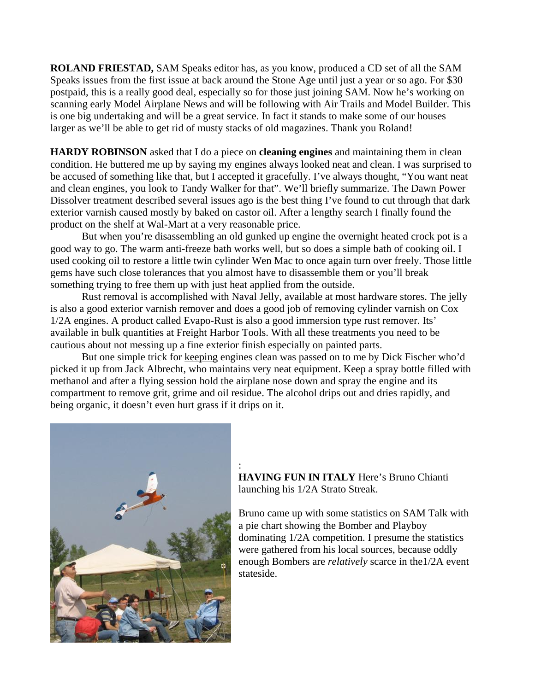**ROLAND FRIESTAD,** SAM Speaks editor has, as you know, produced a CD set of all the SAM Speaks issues from the first issue at back around the Stone Age until just a year or so ago. For \$30 postpaid, this is a really good deal, especially so for those just joining SAM. Now he's working on scanning early Model Airplane News and will be following with Air Trails and Model Builder. This is one big undertaking and will be a great service. In fact it stands to make some of our houses larger as we'll be able to get rid of musty stacks of old magazines. Thank you Roland!

**ARDY ROBINSON** asked that I do a piece on **cleaning engines** and maintaining them in clean **H** condition. He buttered me up by saying my engines always looked neat and clean. I was surprised to be accused of something like that, but I accepted it gracefully. I've always thought, "You want neat and clean engines, you look to Tandy Walker for that". We'll briefly summarize. The Dawn Power Dissolver treatment described several issues ago is the best thing I've found to cut through that dark exterior varnish caused mostly by baked on castor oil. After a lengthy search I finally found the product on the shelf at Wal-Mart at a very reasonable price.

But when you're disassembling an old gunked up engine the overnight heated crock pot is a used cooking oil to restore a little twin cylinder Wen Mac to once again turn over freely. Those little good way to go. The warm anti-freeze bath works well, but so does a simple bath of cooking oil. I gems have such close tolerances that you almost have to disassemble them or you'll break something trying to free them up with just heat applied from the outside.

Rust removal is accomplished with Naval Jelly, available at most hardware stores. The jelly is also a good exterior varnish remover and does a good job of removing cylinder varnish on Cox 1/2A engines. A product called Evapo-Rust is also a good immersion type rust remover. Its' available in bulk quantities at Freight Harbor Tools. With all these treatments you need to be cautious about not messing up a fine exterior finish especially on painted parts.

 But one simple trick for keeping engines clean was passed on to me by Dick Fischer who'd compartment to remove grit, grime and oil residue. The alcohol drips out and dries rapidly, and picked it up from Jack Albrecht, who maintains very neat equipment. Keep a spray bottle filled with methanol and after a flying session hold the airplane nose down and spray the engine and its being organic, it doesn't even hurt grass if it drips on it.

:



**VING FUN IN ITALY** Here's Bruno Chianti **HA** launching his 1/2A Strato Streak.

Bruno came up with some statistics on SAM Talk with dominating 1/2A competition. I presume the statistics enough Bombers are *relatively* scarce in the1/2A event a pie chart showing the Bomber and Playboy were gathered from his local sources, because oddly stateside.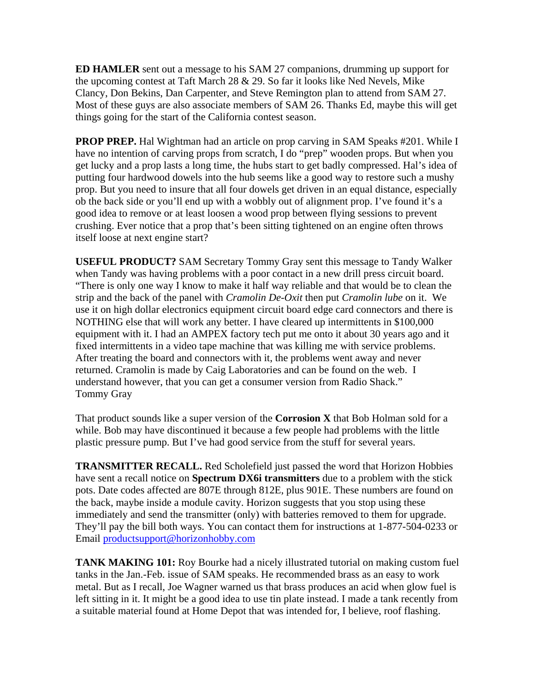**ED HAMLER** sent out a message to his SAM 27 companions, drumming up support for the upcoming contest at Taft March 28 & 29. So far it looks like Ned Nevels, Mike Clancy, Don Bekins, Dan Carpenter, and Steve Remington plan to attend from SAM 27. Most of these guys are also associate members of SAM 26. Thanks Ed, maybe this will get things going for the start of the California contest season.

**PROP PREP.** Hal Wightman had an article on prop carving in SAM Speaks #201. While I have no intention of carving props from scratch, I do "prep" wooden props. But when you get lucky and a prop lasts a long time, the hubs start to get badly compressed. Hal's idea of putting four hardwood dowels into the hub seems like a good way to restore such a mushy prop. But you need to insure that all four dowels get driven in an equal distance, especially ob the back side or you'll end up with a wobbly out of alignment prop. I've found it's a good idea to remove or at least loosen a wood prop between flying sessions to prevent crushing. Ever notice that a prop that's been sitting tightened on an engine often throws itself loose at next engine start?

**USEFUL PRODUCT?** SAM Secretary Tommy Gray sent this message to Tandy Walker when Tandy was having problems with a poor contact in a new drill press circuit board. "There is only one way I know to make it half way reliable and that would be to clean the strip and the back of the panel with *Cramolin De-Oxit* then put *Cramolin lube* on it. We use it on high dollar electronics equipment circuit board edge card connectors and there is NOTHING else that will work any better. I have cleared up intermittents in \$100,000 equipment with it. I had an AMPEX factory tech put me onto it about 30 years ago and it fixed intermittents in a video tape machine that was killing me with service problems. After treating the board and connectors with it, the problems went away and never returned. Cramolin is made by Caig Laboratories and can be found on the web. I understand however, that you can get a consumer version from Radio Shack." Tommy Gray

That product sounds like a super version of the **Corrosion X** that Bob Holman sold for a while. Bob may have discontinued it because a few people had problems with the little plastic pressure pump. But I've had good service from the stuff for several years.

**TRANSMITTER RECALL.** Red Scholefield just passed the word that Horizon Hobbies have sent a recall notice on **Spectrum DX6i transmitters** due to a problem with the stick pots. Date codes affected are 807E through 812E, plus 901E. These numbers are found on the back, maybe inside a module cavity. Horizon suggests that you stop using these immediately and send the transmitter (only) with batteries removed to them for upgrade. They'll pay the bill both ways. You can contact them for instructions at 1-877-504-0233 or Email productsupport@horizonhobby.com

**TANK MAKING 101:** Roy Bourke had a nicely illustrated tutorial on making custom fuel tanks in the Jan.-Feb. issue of SAM speaks. He recommended brass as an easy to work metal. But as I recall, Joe Wagner warned us that brass produces an acid when glow fuel is left sitting in it. It might be a good idea to use tin plate instead. I made a tank recently from a suitable material found at Home Depot that was intended for, I believe, roof flashing.